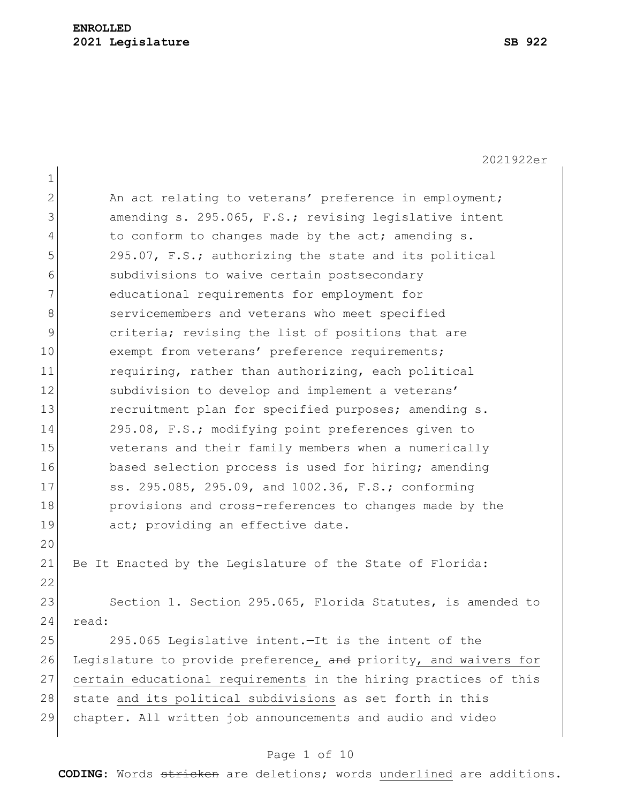|                | 2021922er                                                        |
|----------------|------------------------------------------------------------------|
| $\mathbf 1$    |                                                                  |
| $\overline{2}$ | An act relating to veterans' preference in employment;           |
| 3              | amending s. 295.065, F.S.; revising legislative intent           |
| 4              | to conform to changes made by the act; amending s.               |
| 5              | 295.07, F.S.; authorizing the state and its political            |
| 6              | subdivisions to waive certain postsecondary                      |
| 7              | educational requirements for employment for                      |
| 8              | servicemembers and veterans who meet specified                   |
| 9              | criteria; revising the list of positions that are                |
| 10             | exempt from veterans' preference requirements;                   |
| 11             | requiring, rather than authorizing, each political               |
| 12             | subdivision to develop and implement a veterans'                 |
| 13             | recruitment plan for specified purposes; amending s.             |
| 14             | 295.08, F.S.; modifying point preferences given to               |
| 15             | veterans and their family members when a numerically             |
| 16             | based selection process is used for hiring; amending             |
| 17             | ss. 295.085, 295.09, and 1002.36, F.S.; conforming               |
| 18             | provisions and cross-references to changes made by the           |
| 19             | act; providing an effective date.                                |
| 20             |                                                                  |
| 21             | Be It Enacted by the Legislature of the State of Florida:        |
| 22             |                                                                  |
| 23             | Section 1. Section 295.065, Florida Statutes, is amended to      |
| 24             | read:                                                            |
| 25             | 295.065 Legislative intent.-It is the intent of the              |
| 26             | Legislature to provide preference, and priority, and waivers for |
| 27             | certain educational requirements in the hiring practices of this |
| 28             | state and its political subdivisions as set forth in this        |

chapter. All written job announcements and audio and video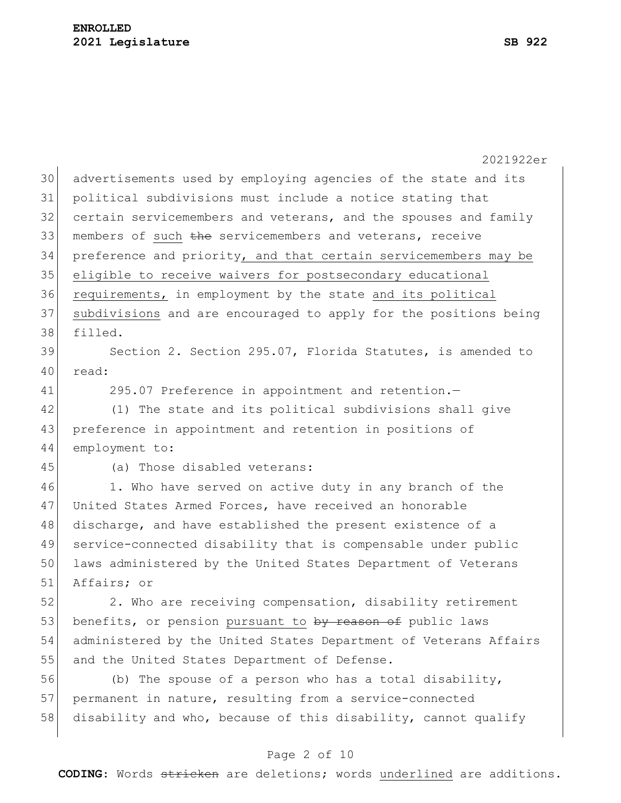|    | 2021922er                                                        |
|----|------------------------------------------------------------------|
| 30 | advertisements used by employing agencies of the state and its   |
| 31 | political subdivisions must include a notice stating that        |
| 32 | certain servicemembers and veterans, and the spouses and family  |
| 33 | members of such the servicemembers and veterans, receive         |
| 34 | preference and priority, and that certain servicemembers may be  |
| 35 | eligible to receive waivers for postsecondary educational        |
| 36 | requirements, in employment by the state and its political       |
| 37 | subdivisions and are encouraged to apply for the positions being |
| 38 | filled.                                                          |
| 39 | Section 2. Section 295.07, Florida Statutes, is amended to       |
| 40 | read:                                                            |
| 41 | 295.07 Preference in appointment and retention.-                 |
| 42 | (1) The state and its political subdivisions shall give          |
| 43 | preference in appointment and retention in positions of          |
| 44 | employment to:                                                   |
| 45 | (a) Those disabled veterans:                                     |
| 46 | 1. Who have served on active duty in any branch of the           |
| 47 | United States Armed Forces, have received an honorable           |
| 48 | discharge, and have established the present existence of a       |
| 49 | service-connected disability that is compensable under public    |
| 50 | laws administered by the United States Department of Veterans    |
| 51 | Affairs; or                                                      |
| 52 | 2. Who are receiving compensation, disability retirement         |
| 53 | benefits, or pension pursuant to by reason of public laws        |
| 54 | administered by the United States Department of Veterans Affairs |
| 55 | and the United States Department of Defense.                     |
| 56 | (b) The spouse of a person who has a total disability,           |
| 57 | permanent in nature, resulting from a service-connected          |
| 58 | disability and who, because of this disability, cannot qualify   |
|    |                                                                  |

# Page 2 of 10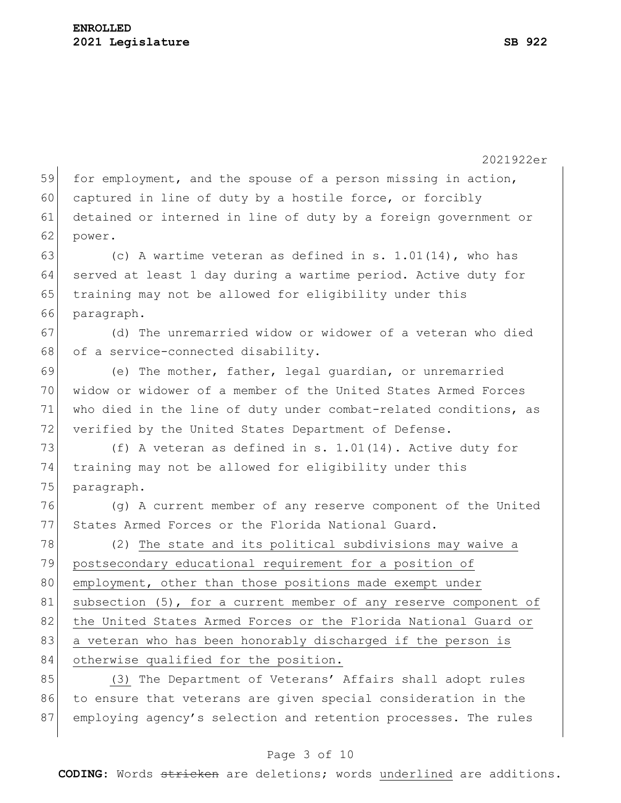2021922er 59 for employment, and the spouse of a person missing in action, 60 captured in line of duty by a hostile force, or forcibly 61 detained or interned in line of duty by a foreign government or 62 power. 63 (c) A wartime veteran as defined in s.  $1.01(14)$ , who has 64 served at least 1 day during a wartime period. Active duty for 65 training may not be allowed for eligibility under this 66 paragraph. 67 (d) The unremarried widow or widower of a veteran who died 68 of a service-connected disability. 69 (e) The mother, father, legal guardian, or unremarried 70 widow or widower of a member of the United States Armed Forces 71 who died in the line of duty under combat-related conditions, as 72 verified by the United States Department of Defense. 73  $( f )$  A veteran as defined in s. 1.01(14). Active duty for 74 training may not be allowed for eligibility under this 75 paragraph. 76 (g) A current member of any reserve component of the United 77 States Armed Forces or the Florida National Guard. 78 (2) The state and its political subdivisions may waive a 79 postsecondary educational requirement for a position of 80 employment, other than those positions made exempt under 81 subsection (5), for a current member of any reserve component of 82 the United States Armed Forces or the Florida National Guard or 83 a veteran who has been honorably discharged if the person is 84 otherwise qualified for the position. 85 (3) The Department of Veterans' Affairs shall adopt rules 86 to ensure that veterans are given special consideration in the 87 employing agency's selection and retention processes. The rules

#### Page 3 of 10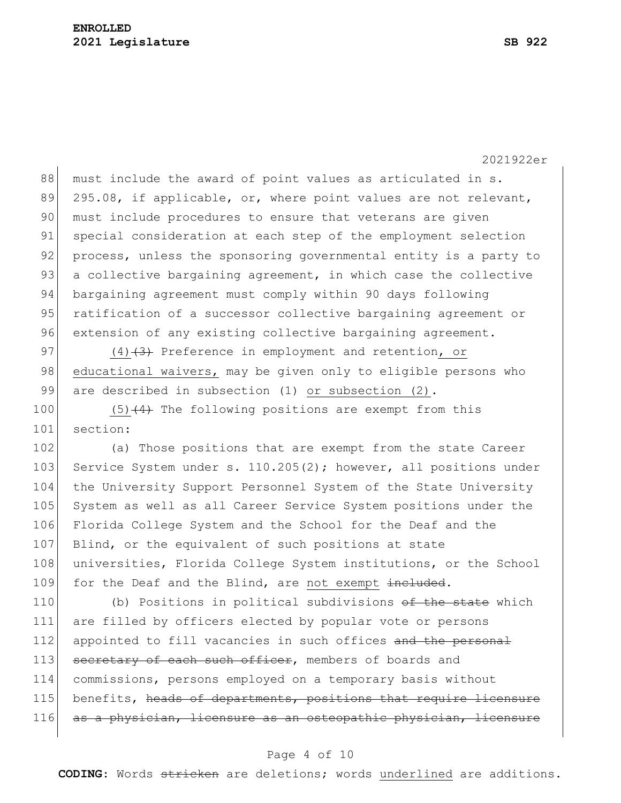88 must include the award of point values as articulated in s. 89 295.08, if applicable, or, where point values are not relevant, 90 must include procedures to ensure that veterans are given 91 special consideration at each step of the employment selection 92 process, unless the sponsoring governmental entity is a party to 93 a collective bargaining agreement, in which case the collective 94 bargaining agreement must comply within 90 days following 95 ratification of a successor collective bargaining agreement or 96 extension of any existing collective bargaining agreement.

97 (4) $(4)$  Preference in employment and retention, or 98 educational waivers, may be given only to eligible persons who 99 are described in subsection (1) or subsection (2).

100  $(5)$   $(4)$  The following positions are exempt from this 101 section:

102 (a) Those positions that are exempt from the state Career 103 Service System under s. 110.205(2); however, all positions under 104 the University Support Personnel System of the State University 105 System as well as all Career Service System positions under the 106 Florida College System and the School for the Deaf and the 107 Blind, or the equivalent of such positions at state 108 universities, Florida College System institutions, or the School 109 for the Deaf and the Blind, are not exempt included.

110 (b) Positions in political subdivisions <del>of the state</del> which 111 are filled by officers elected by popular vote or persons 112 appointed to fill vacancies in such offices and the personal 113 secretary of each such officer, members of boards and 114 commissions, persons employed on a temporary basis without 115 benefits, heads of departments, positions that require licensure 116 as a physician, licensure as an osteopathic physician, licensure

#### Page 4 of 10

**CODING**: Words stricken are deletions; words underlined are additions.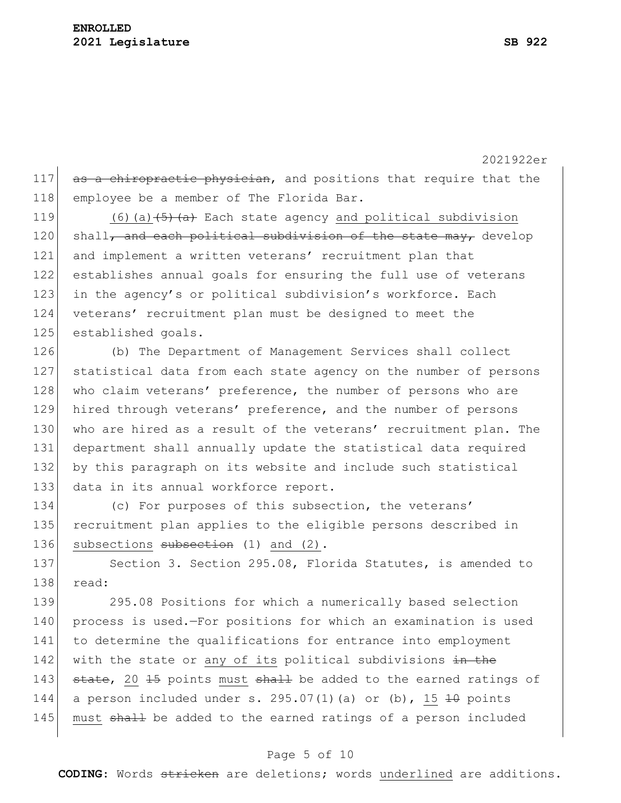### **ENROLLED 2021 Legislature SB 922**

117 as a chiropractic physician, and positions that require that the 118 employee be a member of The Florida Bar.

 $(6)(a)$   $\left(\frac{5}{2}a\right)$  Each state agency and political subdivision shall, and each political subdivision of the state may, develop and implement a written veterans' recruitment plan that establishes annual goals for ensuring the full use of veterans 123 in the agency's or political subdivision's workforce. Each veterans' recruitment plan must be designed to meet the 125 established goals.

 (b) The Department of Management Services shall collect statistical data from each state agency on the number of persons 128 who claim veterans' preference, the number of persons who are hired through veterans' preference, and the number of persons 130 who are hired as a result of the veterans' recruitment plan. The department shall annually update the statistical data required by this paragraph on its website and include such statistical 133 data in its annual workforce report.

134 (c) For purposes of this subsection, the veterans' 135 recruitment plan applies to the eligible persons described in 136 subsections subsection (1) and (2).

137 Section 3. Section 295.08, Florida Statutes, is amended to 138 read:

139 295.08 Positions for which a numerically based selection 140 process is used.—For positions for which an examination is used 141 to determine the qualifications for entrance into employment 142 with the state or any of its political subdivisions in the 143 state, 20 15 points must shall be added to the earned ratings of 144 a person included under s. 295.07(1)(a) or (b), 15  $\pm$ 0 points 145 must shall be added to the earned ratings of a person included

### Page 5 of 10

**CODING**: Words stricken are deletions; words underlined are additions.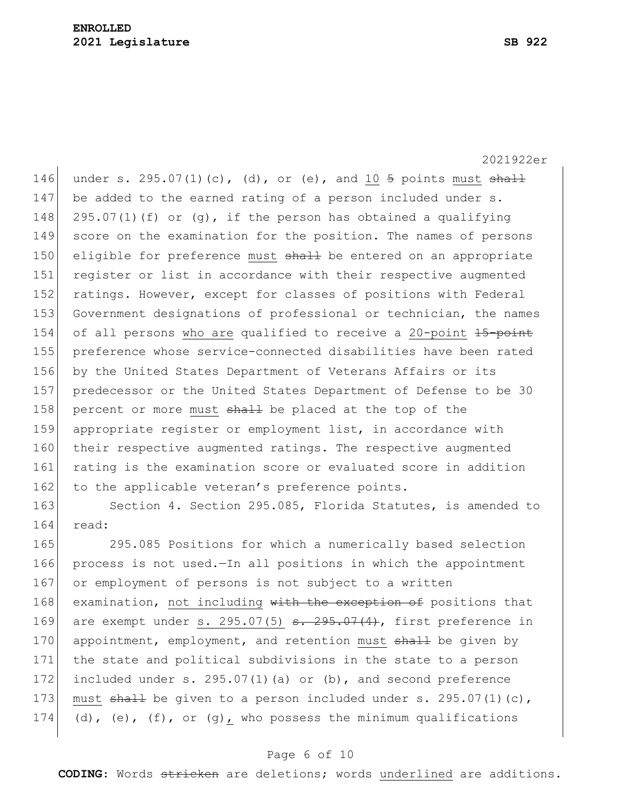2021922er

146 under s. 295.07(1)(c), (d), or (e), and 10  $\frac{1}{9}$  points must shall 147 be added to the earned rating of a person included under s. 148 295.07(1)(f) or (g), if the person has obtained a qualifying 149 score on the examination for the position. The names of persons 150 eligible for preference must shall be entered on an appropriate 151 register or list in accordance with their respective augmented 152 ratings. However, except for classes of positions with Federal 153 Government designations of professional or technician, the names 154 of all persons who are qualified to receive a 20-point 15-point 155 preference whose service-connected disabilities have been rated 156 by the United States Department of Veterans Affairs or its 157 predecessor or the United States Department of Defense to be 30 158 percent or more must  $shaH$  be placed at the top of the 159 appropriate register or employment list, in accordance with 160 their respective augmented ratings. The respective augmented 161 rating is the examination score or evaluated score in addition 162 to the applicable veteran's preference points.

163 Section 4. Section 295.085, Florida Statutes, is amended to 164 read:

165 295.085 Positions for which a numerically based selection 166 process is not used.—In all positions in which the appointment 167 or employment of persons is not subject to a written 168 examination, not including with the exception of positions that 169 are exempt under s. 295.07(5)  $s. 295.07(4)$ , first preference in 170 appointment, employment, and retention must shall be given by 171 the state and political subdivisions in the state to a person 172 included under s. 295.07(1)(a) or  $(b)$ , and second preference 173 must  $\frac{173}{10}$ , must  $\frac{11}{10}$  be given to a person included under s. 295.07(1)(c), 174 (d), (e), (f), or (g), who possess the minimum qualifications

### Page 6 of 10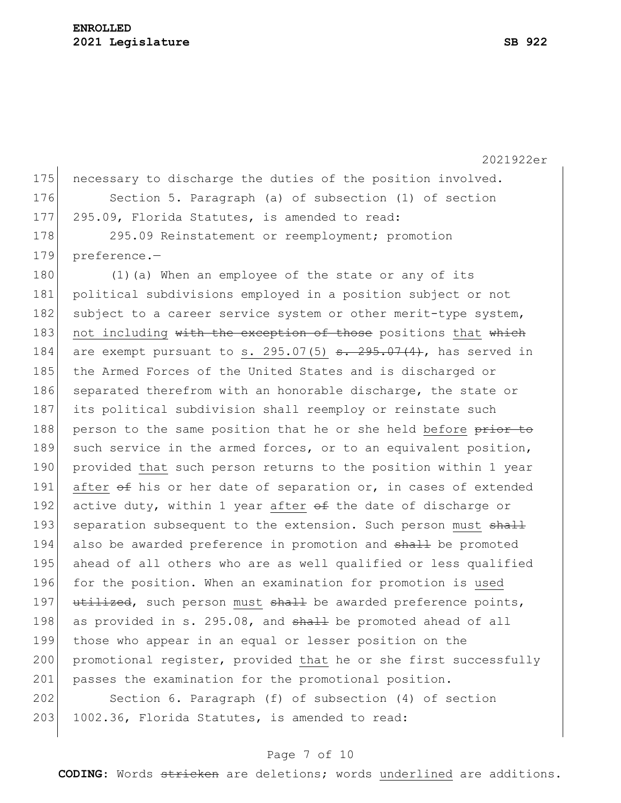| 175 | necessary to discharge the duties of the position involved.                                |
|-----|--------------------------------------------------------------------------------------------|
| 176 | Section 5. Paragraph (a) of subsection (1) of section                                      |
| 177 | 295.09, Florida Statutes, is amended to read:                                              |
| 178 | 295.09 Reinstatement or reemployment; promotion                                            |
| 179 | preference.-                                                                               |
| 180 | (1) (a) When an employee of the state or any of its                                        |
| 181 | political subdivisions employed in a position subject or not                               |
| 182 | subject to a career service system or other merit-type system,                             |
| 183 | not including with the exception of those positions that which                             |
| 184 | are exempt pursuant to s. $295.07(5)$ <del>s. <math>295.07(4)</math></del> , has served in |
| 185 | the Armed Forces of the United States and is discharged or                                 |
| 186 | separated therefrom with an honorable discharge, the state or                              |
| 187 | its political subdivision shall reemploy or reinstate such                                 |
| 188 | person to the same position that he or she held before prior to                            |
| 189 | such service in the armed forces, or to an equivalent position,                            |
| 190 | provided that such person returns to the position within 1 year                            |
| 191 | after of his or her date of separation or, in cases of extended                            |
| 192 | active duty, within 1 year after of the date of discharge or                               |
| 193 | separation subsequent to the extension. Such person must shall                             |
| 194 | also be awarded preference in promotion and shall be promoted                              |
| 195 | ahead of all others who are as well qualified or less qualified                            |
| 196 | for the position. When an examination for promotion is used                                |
| 197 | utilized, such person must shall be awarded preference points,                             |
| 198 | as provided in s. 295.08, and shall be promoted ahead of all                               |
| 199 | those who appear in an equal or lesser position on the                                     |
| 200 | promotional register, provided that he or she first successfully                           |
| 201 | passes the examination for the promotional position.                                       |
| 202 | Section 6. Paragraph (f) of subsection (4) of section                                      |

## Page 7 of 10

203 1002.36, Florida Statutes, is amended to read:

**CODING**: Words stricken are deletions; words underlined are additions.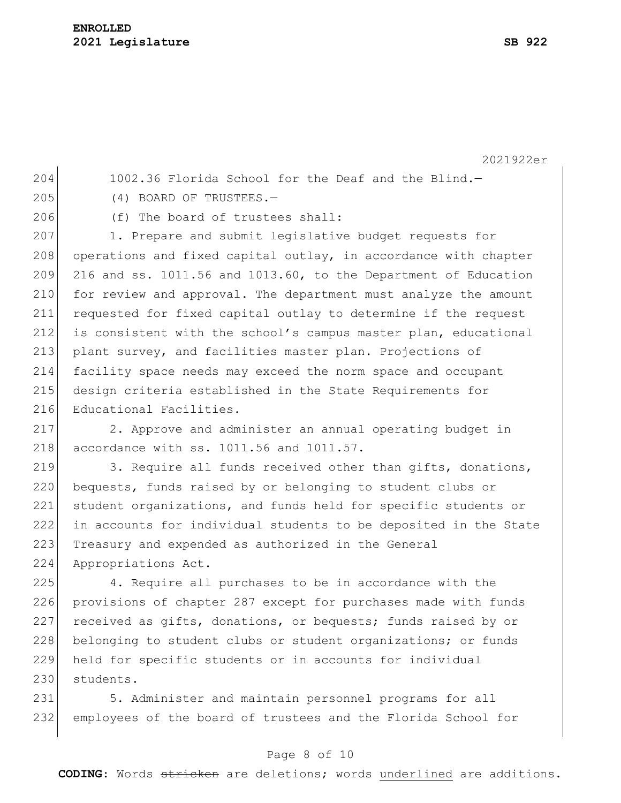2021922er

204 1002.36 Florida School for the Deaf and the Blind.-

- 205 (4) BOARD OF TRUSTEES.
- 

206 (f) The board of trustees shall:

207 1. Prepare and submit legislative budget requests for 208 operations and fixed capital outlay, in accordance with chapter  $209$  216 and ss. 1011.56 and 1013.60, to the Department of Education 210 for review and approval. The department must analyze the amount 211 requested for fixed capital outlay to determine if the request 212 is consistent with the school's campus master plan, educational 213 plant survey, and facilities master plan. Projections of 214 facility space needs may exceed the norm space and occupant 215 design criteria established in the State Requirements for 216 Educational Facilities.

217 2. Approve and administer an annual operating budget in 218 accordance with ss. 1011.56 and 1011.57.

219 3. Require all funds received other than gifts, donations, 220 bequests, funds raised by or belonging to student clubs or 221 student organizations, and funds held for specific students or 222 in accounts for individual students to be deposited in the State 223 Treasury and expended as authorized in the General 224 Appropriations Act.

225 4. Require all purchases to be in accordance with the 226 provisions of chapter 287 except for purchases made with funds 227 received as gifts, donations, or bequests; funds raised by or 228 belonging to student clubs or student organizations; or funds 229 held for specific students or in accounts for individual 230 students.

231 5. Administer and maintain personnel programs for all 232 employees of the board of trustees and the Florida School for

## Page 8 of 10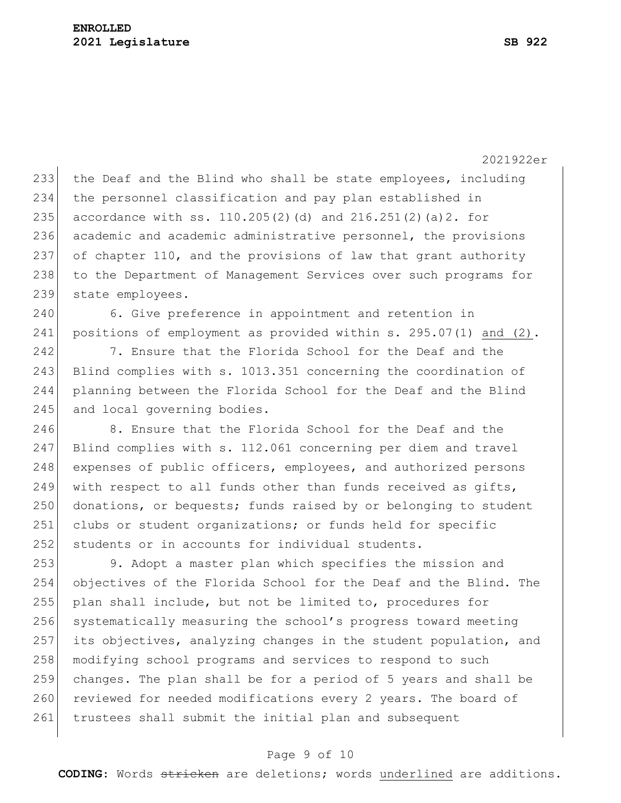233 the Deaf and the Blind who shall be state employees, including 234 the personnel classification and pay plan established in 235 accordance with ss. 110.205(2)(d) and  $216.251(2)$  (a)2. for 236 academic and academic administrative personnel, the provisions 237 of chapter 110, and the provisions of law that grant authority 238 to the Department of Management Services over such programs for 239 state employees.

240 6. Give preference in appointment and retention in 241 positions of employment as provided within s. 295.07(1) and (2).

242 7. Ensure that the Florida School for the Deaf and the 243 Blind complies with s. 1013.351 concerning the coordination of 244 planning between the Florida School for the Deaf and the Blind 245 and local governing bodies.

246 8. Ensure that the Florida School for the Deaf and the 247 Blind complies with s. 112.061 concerning per diem and travel 248 expenses of public officers, employees, and authorized persons 249 with respect to all funds other than funds received as gifts, 250 donations, or bequests; funds raised by or belonging to student 251 clubs or student organizations; or funds held for specific 252 students or in accounts for individual students.

253 9. Adopt a master plan which specifies the mission and 254 objectives of the Florida School for the Deaf and the Blind. The 255 plan shall include, but not be limited to, procedures for 256 systematically measuring the school's progress toward meeting 257 its objectives, analyzing changes in the student population, and 258 modifying school programs and services to respond to such 259 changes. The plan shall be for a period of 5 years and shall be 260 reviewed for needed modifications every 2 years. The board of 261 trustees shall submit the initial plan and subsequent

#### Page 9 of 10

**CODING**: Words stricken are deletions; words underlined are additions.